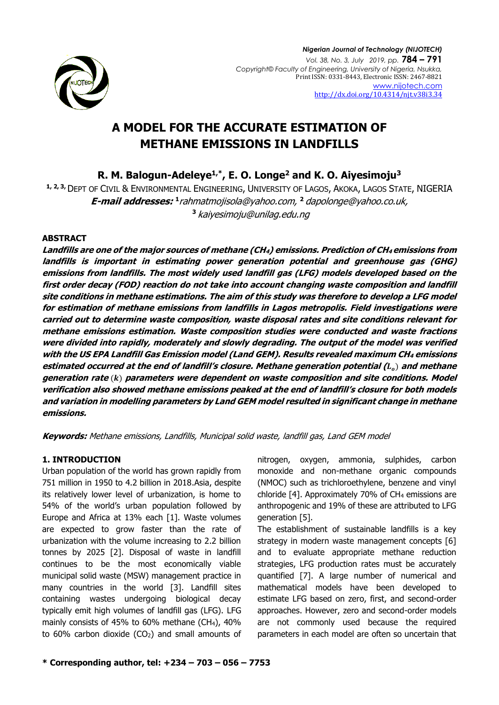

# **A MODEL FOR THE ACCURATE ESTIMATION OF METHANE EMISSIONS IN LANDFILLS**

**R. M. Balogun-Adeleye1,\*, E. O. Longe<sup>2</sup> and K. O. Aiyesimoju<sup>3</sup>**

**1, 2, 3,**DEPT OF CIVIL & ENVIRONMENTAL ENGINEERING, UNIVERSITY OF LAGOS, AKOKA, LAGOS STATE, NIGERIA **E-mail addresses: 1** [rahmatmojisola@yahoo.com,](mailto:rahmatmojisola@yahoo.com) 2 [dapolonge@yahoo.co.uk,](mailto:2dapolonge@yahoo.co.uk) **<sup>3</sup>** kaiyesimoju@unilag.edu.ng

#### **ABSTRACT**

**Landfills are one of the major sources of methane (CH4) emissions. Prediction of CH4 emissions from landfills is important in estimating power generation potential and greenhouse gas (GHG) emissions from landfills. The most widely used landfill gas (LFG) models developed based on the first order decay (FOD) reaction do not take into account changing waste composition and landfill site conditions in methane estimations. The aim of this study was therefore to develop a LFG model for estimation of methane emissions from landfills in Lagos metropolis. Field investigations were carried out to determine waste composition, waste disposal rates and site conditions relevant for methane emissions estimation. Waste composition studies were conducted and waste fractions were divided into rapidly, moderately and slowly degrading. The output of the model was verified with the US EPA Landfill Gas Emission model (Land GEM). Results revealed maximum CH<sup>4</sup> emissions estimated occurred at the end of landfill's closure. Methane generation potential (**) **and methane generation rate** () **parameters were dependent on waste composition and site conditions. Model verification also showed methane emissions peaked at the end of landfill's closure for both models and variation in modelling parameters by Land GEM model resulted in significant change in methane emissions.**

**Keywords:** Methane emissions, Landfills, Municipal solid waste, landfill gas, Land GEM model

# **1. INTRODUCTION**

Urban population of the world has grown rapidly from 751 million in 1950 to 4.2 billion in 2018.Asia, despite its relatively lower level of urbanization, is home to 54% of the world's urban population followed by Europe and Africa at 13% each [1]. Waste volumes are expected to grow faster than the rate of urbanization with the volume increasing to 2.2 billion tonnes by 2025 [2]. Disposal of waste in landfill continues to be the most economically viable municipal solid waste (MSW) management practice in many countries in the world [3]. Landfill sites containing wastes undergoing biological decay typically emit high volumes of landfill gas (LFG). LFG mainly consists of 45% to 60% methane (CH4), 40% to 60% carbon dioxide  $(CO<sub>2</sub>)$  and small amounts of nitrogen, oxygen, ammonia, sulphides, carbon monoxide and non-methane organic compounds (NMOC) such as trichloroethylene, benzene and vinyl chloride  $[4]$ . Approximately 70% of CH<sub>4</sub> emissions are anthropogenic and 19% of these are attributed to LFG generation [5].

The establishment of sustainable landfills is a key strategy in modern waste management concepts [6] and to evaluate appropriate methane reduction strategies, LFG production rates must be accurately quantified [7]. A large number of numerical and mathematical models have been developed to estimate LFG based on zero, first, and second-order approaches. However, zero and second-order models are not commonly used because the required parameters in each model are often so uncertain that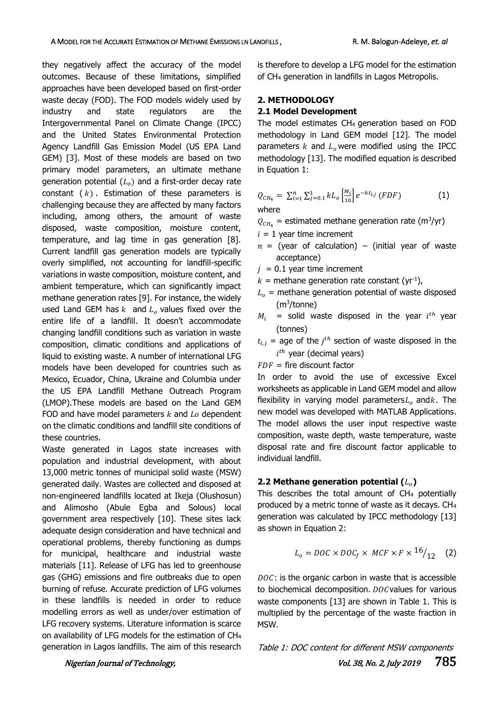they negatively affect the accuracy of the model outcomes. Because of these limitations, simplified approaches have been developed based on first-order waste decay (FOD). The FOD models widely used by industry and state regulators are the Intergovernmental Panel on Climate Change (IPCC) and the United States Environmental Protection Agency Landfill Gas Emission Model (US EPA Land GEM) [3]. Most of these models are based on two primary model parameters, an ultimate methane generation potential  $(L<sub>o</sub>)$  and a first-order decay rate constant  $(k)$ . Estimation of these parameters is challenging because they are affected by many factors including, among others, the amount of waste disposed, waste composition, moisture content, temperature, and lag time in gas generation [8]. Current landfill gas generation models are typically overly simplified, not accounting for landfill-specific variations in waste composition, moisture content, and ambient temperature, which can significantly impact methane generation rates [9]. For instance, the widely used Land GEM has  $k$  and  $L<sub>o</sub>$  values fixed over the entire life of a landfill. It doesn't accommodate changing landfill conditions such as variation in waste composition, climatic conditions and applications of liquid to existing waste. A number of international LFG models have been developed for countries such as Mexico, Ecuador, China, Ukraine and Columbia under the US EPA Landfill Methane Outreach Program (LMOP).These models are based on the Land GEM FOD and have model parameters  $k$  and  $Lo$  dependent on the climatic conditions and landfill site conditions of these countries.

Waste generated in Lagos state increases with population and industrial development, with about 13,000 metric tonnes of municipal solid waste (MSW) generated daily. Wastes are collected and disposed at non-engineered landfills located at Ikeja (Olushosun) and Alimosho (Abule Egba and Solous) local government area respectively [10]. These sites lack adequate design consideration and have technical and operational problems, thereby functioning as dumps for municipal, healthcare and industrial waste materials [11]. Release of LFG has led to greenhouse gas (GHG) emissions and fire outbreaks due to open burning of refuse. Accurate prediction of LFG volumes in these landfills is needed in order to reduce modelling errors as well as under/over estimation of LFG recovery systems. Literature information is scarce on availability of LFG models for the estimation of CH<sup>4</sup> generation in Lagos landfills. The aim of this research

is therefore to develop a LFG model for the estimation of CH<sup>4</sup> generation in landfills in Lagos Metropolis.

#### **2. METHODOLOGY**

#### **2.1 Model Development**

The model estimates CH4 generation based on FOD methodology in Land GEM model [12]. The model parameters  $k$  and  $L<sub>o</sub>$  were modified using the IPCC methodology [13]. The modified equation is described in Equation 1:

$$
Q_{CH_4} = \sum_{i=1}^{n} \sum_{j=0.1}^{1} k L_o \left[ \frac{M_i}{10} \right] e^{-kt_{i,j}} \left( FDF \right)
$$
 (1)

where

 $Q_{CH_4}$  = estimated methane generation rate (m<sup>3</sup>/yr)

 $i = 1$  year time increment

- $n =$  (year of calculation) (initial year of waste acceptance)
- $j = 0.1$  year time increment
- $k =$  methane generation rate constant (yr<sup>-1</sup>),
- $L<sub>o</sub>$  = methane generation potential of waste disposed (m<sup>3</sup> /tonne)
- $M_i$  = solid waste disposed in the year  $i^{th}$  year (tonnes)
- $t_{i,j}$  = age of the  $j^{th}$  section of waste disposed in the  $i^{th}$  year (decimal years)

 $FDF =$  fire discount factor

In order to avoid the use of excessive Excel worksheets as applicable in Land GEM model and allow flexibility in varying model parameters $L_0$  and  $k$ . The new model was developed with MATLAB Applications. The model allows the user input respective waste composition, waste depth, waste temperature, waste disposal rate and fire discount factor applicable to individual landfill.

#### **2.2 Methane generation potential ()**

This describes the total amount of CH<sub>4</sub> potentially produced by a metric tonne of waste as it decays. CH<sup>4</sup> generation was calculated by IPCC methodology [13] as shown in Equation 2:

$$
L_o = DOC \times DOC_f \times MCF \times F \times \frac{16}{12} \quad (2)
$$

 $DOC$ : is the organic carbon in waste that is accessible to biochemical decomposition.  $DOC$  values for various waste components [13] are shown in Table 1. This is multiplied by the percentage of the waste fraction in MSW.

Table 1: DOC content for different MSW components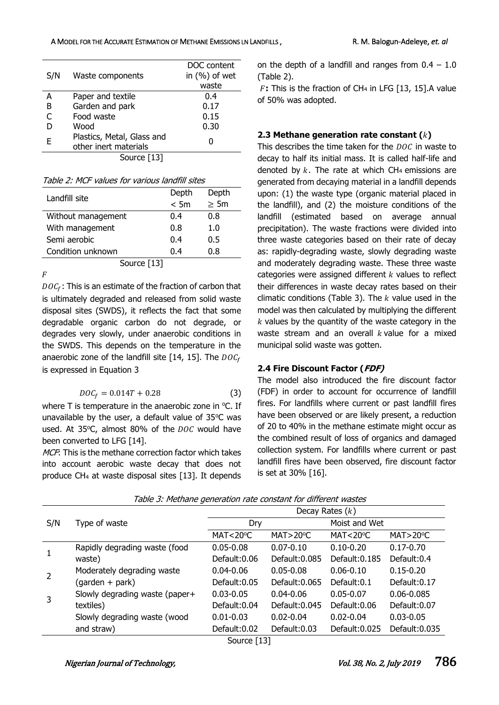#### A MODEL FOR THE ACCURATE ESTIMATION OF METHANE EMISSIONS LN LANDFILLS, R. M. Balogun-Adeleye, *et. al* **R. M. Balogun-Adeleye**, *et. al*

| S/N | Waste components                                    | DOC content<br>in $(%)$ of wet |  |
|-----|-----------------------------------------------------|--------------------------------|--|
|     |                                                     | waste                          |  |
| А   | Paper and textile                                   | 0.4                            |  |
| B   | Garden and park                                     | 0.17                           |  |
| C   | Food waste                                          | 0.15                           |  |
| D   | Wood                                                | 0.30                           |  |
| F   | Plastics, Metal, Glass and<br>other inert materials | O                              |  |
|     | Source [13]                                         |                                |  |

Table 2: MCF values for various landfill sites

| Landfill site      | Depth | Depth     |  |  |
|--------------------|-------|-----------|--|--|
|                    | < 5m  | $\geq$ 5m |  |  |
| Without management | 0.4   | 0.8       |  |  |
| With management    | 0.8   | 1.0       |  |  |
| Semi aerobic       | 0.4   | 0.5       |  |  |
| Condition unknown  | 0.4   | 0.8       |  |  |
| Source [13]        |       |           |  |  |

 $\overline{F}$ 

 $DOC_f$ : This is an estimate of the fraction of carbon that is ultimately degraded and released from solid waste disposal sites (SWDS), it reflects the fact that some degradable organic carbon do not degrade, or degrades very slowly, under anaerobic conditions in the SWDS. This depends on the temperature in the anaerobic zone of the landfill site [14, 15]. The  $DOC_f$ is expressed in Equation 3

$$
DOC_f = 0.014T + 0.28
$$
 (3)

where  $T$  is temperature in the anaerobic zone in  $°C$ . If unavailable by the user, a default value of  $35^{\circ}$ C was used. At 35 $°C$ , almost 80% of the  $DOC$  would have been converted to LFG [14].

MCF: This is the methane correction factor which takes into account aerobic waste decay that does not produce CH<sup>4</sup> at waste disposal sites [13]. It depends

on the depth of a landfill and ranges from  $0.4 - 1.0$ (Table 2).

**:** This is the fraction of CH<sup>4</sup> in LFG [13, 15].A value of 50% was adopted.

#### **2.3 Methane generation rate constant ()**

This describes the time taken for the  $DOC$  in waste to decay to half its initial mass. It is called half-life and denoted by  $k$ . The rate at which CH<sub>4</sub> emissions are generated from decaying material in a landfill depends upon: (1) the waste type (organic material placed in the landfill), and (2) the moisture conditions of the landfill (estimated based on average annual precipitation). The waste fractions were divided into three waste categories based on their rate of decay as: rapidly-degrading waste, slowly degrading waste and moderately degrading waste. These three waste categories were assigned different  $k$  values to reflect their differences in waste decay rates based on their climatic conditions (Table 3). The  $k$  value used in the model was then calculated by multiplying the different  $k$  values by the quantity of the waste category in the waste stream and an overall  $k$  value for a mixed municipal solid waste was gotten.

# **2.4 Fire Discount Factor (FDF)**

The model also introduced the fire discount factor (FDF) in order to account for occurrence of landfill fires. For landfills where current or past landfill fires have been observed or are likely present, a reduction of 20 to 40% in the methane estimate might occur as the combined result of loss of organics and damaged collection system. For landfills where current or past landfill fires have been observed, fire discount factor is set at 30% [16].

| Decay Rates $(k)$                                                |  |  |  |  |
|------------------------------------------------------------------|--|--|--|--|
| Moist and Wet                                                    |  |  |  |  |
| MAT<20 $\degree$ C<br>MAT > 20°C                                 |  |  |  |  |
| $0.17 - 0.70$                                                    |  |  |  |  |
| Default: 0.185<br>Default:0.4                                    |  |  |  |  |
| $0.15 - 0.20$                                                    |  |  |  |  |
| Default:0.17<br>Default:0.1                                      |  |  |  |  |
| 0.06-0.085                                                       |  |  |  |  |
| Default: 0.06<br>Default:0.07                                    |  |  |  |  |
| $0.03 - 0.05$                                                    |  |  |  |  |
| Default: 0.025<br>Default:0.035                                  |  |  |  |  |
| $0.10 - 0.20$<br>$0.06 - 0.10$<br>$0.05 - 0.07$<br>$0.02 - 0.04$ |  |  |  |  |

Table 3: Methane generation rate constant for different wastes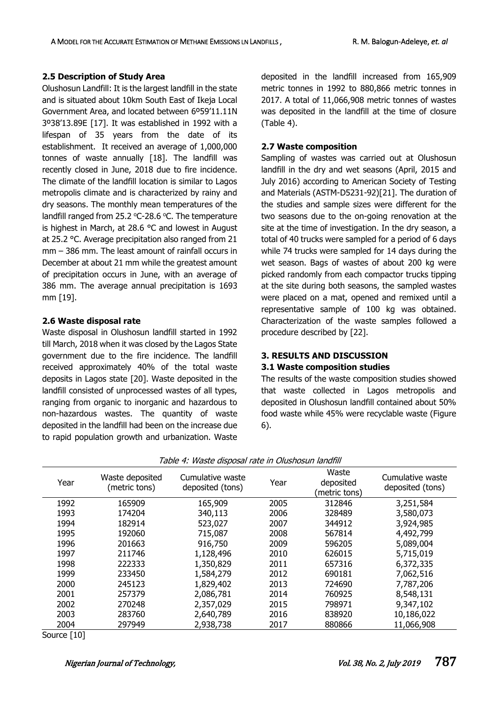#### **2.5 Description of Study Area**

Olushosun Landfill: It is the largest landfill in the state and is situated about 10km South East of Ikeja Local Government Area, and located between 6º59'11.11N 3º38'13.89E [17]. It was established in 1992 with a lifespan of 35 years from the date of its establishment. It received an average of 1,000,000 tonnes of waste annually [18]. The landfill was recently closed in June, 2018 due to fire incidence. The climate of the landfill location is similar to Lagos metropolis climate and is characterized by rainy and dry seasons. The monthly mean temperatures of the landfill ranged from 25.2  $°C-28.6$   $°C$ . The temperature is highest in March, at 28.6 °C and lowest in August at 25.2 °C. Average precipitation also ranged from 21 mm – 386 mm. The least amount of rainfall occurs in December at about 21 mm while the greatest amount of precipitation occurs in June, with an average of 386 mm. The average annual precipitation is 1693 mm [19].

#### **2.6 Waste disposal rate**

Waste disposal in Olushosun landfill started in 1992 till March, 2018 when it was closed by the Lagos State government due to the fire incidence. The landfill received approximately 40% of the total waste deposits in Lagos state [20]. Waste deposited in the landfill consisted of unprocessed wastes of all types, ranging from organic to inorganic and hazardous to non-hazardous wastes. The quantity of waste deposited in the landfill had been on the increase due to rapid population growth and urbanization. Waste deposited in the landfill increased from 165,909 metric tonnes in 1992 to 880,866 metric tonnes in 2017. A total of 11,066,908 metric tonnes of wastes was deposited in the landfill at the time of closure (Table 4).

### **2.7 Waste composition**

Sampling of wastes was carried out at Olushosun landfill in the dry and wet seasons (April, 2015 and July 2016) according to American Society of Testing and Materials (ASTM-D5231-92)[21]. The duration of the studies and sample sizes were different for the two seasons due to the on-going renovation at the site at the time of investigation. In the dry season, a total of 40 trucks were sampled for a period of 6 days while 74 trucks were sampled for 14 days during the wet season. Bags of wastes of about 200 kg were picked randomly from each compactor trucks tipping at the site during both seasons, the sampled wastes were placed on a mat, opened and remixed until a representative sample of 100 kg was obtained. Characterization of the waste samples followed a procedure described by [22].

### **3. RESULTS AND DISCUSSION**

#### **3.1 Waste composition studies**

The results of the waste composition studies showed that waste collected in Lagos metropolis and deposited in Olushosun landfill contained about 50% food waste while 45% were recyclable waste (Figure 6).

| <u>rabic 1. maste alsposar rate in olashosan lananin</u> |                                  |                                      |      |                                     |                                      |
|----------------------------------------------------------|----------------------------------|--------------------------------------|------|-------------------------------------|--------------------------------------|
| Year                                                     | Waste deposited<br>(metric tons) | Cumulative waste<br>deposited (tons) | Year | Waste<br>deposited<br>(metric tons) | Cumulative waste<br>deposited (tons) |
| 1992                                                     | 165909                           | 165,909                              | 2005 | 312846                              | 3,251,584                            |
| 1993                                                     | 174204                           | 340,113                              | 2006 | 328489                              | 3,580,073                            |
| 1994                                                     | 182914                           | 523,027                              | 2007 | 344912                              | 3,924,985                            |
| 1995                                                     | 192060                           | 715,087                              | 2008 | 567814                              | 4,492,799                            |
| 1996                                                     | 201663                           | 916,750                              | 2009 | 596205                              | 5,089,004                            |
| 1997                                                     | 211746                           | 1,128,496                            | 2010 | 626015                              | 5,715,019                            |
| 1998                                                     | 222333                           | 1,350,829                            | 2011 | 657316                              | 6,372,335                            |
| 1999                                                     | 233450                           | 1,584,279                            | 2012 | 690181                              | 7,062,516                            |
| 2000                                                     | 245123                           | 1,829,402                            | 2013 | 724690                              | 7,787,206                            |
| 2001                                                     | 257379                           | 2,086,781                            | 2014 | 760925                              | 8,548,131                            |
| 2002                                                     | 270248                           | 2,357,029                            | 2015 | 798971                              | 9,347,102                            |
| 2003                                                     | 283760                           | 2,640,789                            | 2016 | 838920                              | 10,186,022                           |
| 2004                                                     | 297949                           | 2,938,738                            | 2017 | 880866                              | 11,066,908                           |

Table 4: Waste disposal rate in Olushosun landfill

Source [10]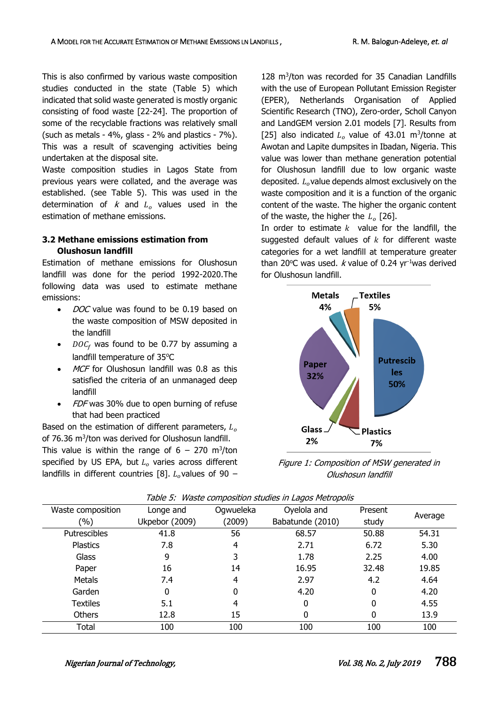This is also confirmed by various waste composition studies conducted in the state (Table 5) which indicated that solid waste generated is mostly organic consisting of food waste [22-24]. The proportion of some of the recyclable fractions was relatively small (such as metals - 4%, glass - 2% and plastics - 7%). This was a result of scavenging activities being undertaken at the disposal site.

Waste composition studies in Lagos State from previous years were collated, and the average was established. (see Table 5). This was used in the determination of  $k$  and  $L<sub>o</sub>$  values used in the estimation of methane emissions.

# **3.2 Methane emissions estimation from Olushosun landfill**

Estimation of methane emissions for Olushosun landfill was done for the period 1992-2020.The following data was used to estimate methane emissions:

- DOC value was found to be 0.19 based on the waste composition of MSW deposited in the landfill
- $DOC<sub>f</sub>$  was found to be 0.77 by assuming a landfill temperature of 35°C
- MCF for Olushosun landfill was 0.8 as this satisfied the criteria of an unmanaged deep landfill
- FDF was 30% due to open burning of refuse that had been practiced

Based on the estimation of different parameters,  $L_0$ of 76.36 m<sup>3</sup>/ton was derived for Olushosun landfill. This value is within the range of  $6 - 270$  m<sup>3</sup>/ton specified by US EPA, but  $L<sub>o</sub>$  varies across different landfills in different countries [8].  $L_0$  values of 90 –

128 m<sup>3</sup> /ton was recorded for 35 Canadian Landfills with the use of European Pollutant Emission Register (EPER), Netherlands Organisation of Applied Scientific Research (TNO), Zero-order, Scholl Canyon and LandGEM version 2.01 models [7]. Results from [25] also indicated  $L_o$  value of 43.01 m<sup>3</sup>/tonne at Awotan and Lapite dumpsites in Ibadan, Nigeria. This value was lower than methane generation potential for Olushosun landfill due to low organic waste deposited.  $L_{o}$  value depends almost exclusively on the waste composition and it is a function of the organic content of the waste. The higher the organic content of the waste, the higher the  $L_0$  [26].

In order to estimate  $k$  value for the landfill, the suggested default values of  $k$  for different waste categories for a wet landfill at temperature greater than 20 $\degree$ C was used. *k* value of 0.24 yr<sup>-1</sup>was derived for Olushosun landfill.



Figure 1: Composition of MSW generated in Olushosun landfill

| Waste composition | Longe and      | Ogwueleka                  | Oyelola and | Present |         |  |
|-------------------|----------------|----------------------------|-------------|---------|---------|--|
| $(\% )$           | Ukpebor (2009) | (2009)<br>Babatunde (2010) |             | study   | Average |  |
| Putrescibles      | 41.8           | 56                         | 68.57       | 50.88   | 54.31   |  |
| Plastics          | 7.8            | 4                          | 2.71        | 6.72    | 5.30    |  |
| Glass             | 9              | 3                          | 1.78        | 2.25    | 4.00    |  |
| Paper             | 16             | 14                         | 16.95       | 32.48   | 19.85   |  |
| Metals            | 7.4            | 4                          | 2.97        | 4.2     | 4.64    |  |
| Garden            | 0              | 0                          | 4.20        | 0       | 4.20    |  |
| <b>Textiles</b>   | 5.1            | 4                          | 0           | 0       | 4.55    |  |
| <b>Others</b>     | 12.8           | 15                         | 0           | 0       | 13.9    |  |
| Total             | 100            | 100                        | 100         | 100     | 100     |  |

Table 5: Waste composition studies in Lagos Metropolis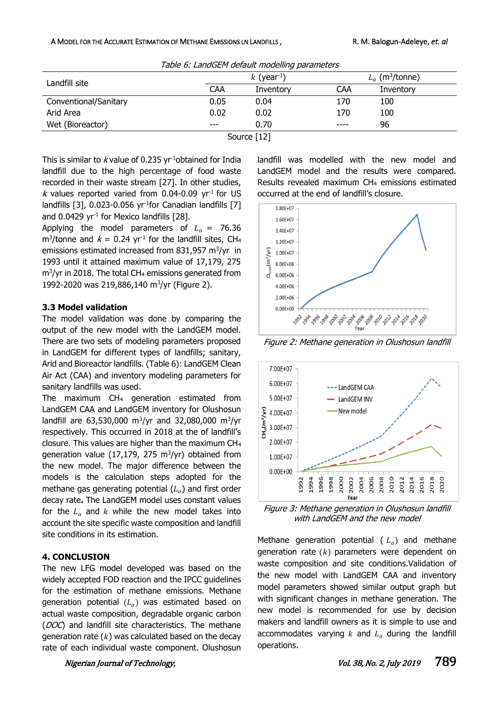#### A MODEL FOR THE ACCURATE ESTIMATION OF METHANE EMISSIONS LN LANDFILLS, R. M. Balogun-Adeleye, *et. al* **R. M. Balogun-Adeleye**, *et. al*

| Table 6. LanuGEPT detault modelling parameters |                           |           |            |                               |  |  |
|------------------------------------------------|---------------------------|-----------|------------|-------------------------------|--|--|
| Landfill site                                  | $k$ (year <sup>-1</sup> ) |           |            | $L_0$ (m <sup>3</sup> /tonne) |  |  |
|                                                | <b>CAA</b>                | Inventory | <b>CAA</b> | Inventory                     |  |  |
| Conventional/Sanitary                          | 0.05                      | 0.04      | 170        | 100                           |  |  |
| Arid Area                                      | 0.02                      | 0.02      | 170        | 100                           |  |  |
| Wet (Bioreactor)                               | $---$                     | 0.70      | ----       | 96                            |  |  |
| Source $[12]$                                  |                           |           |            |                               |  |  |

 $T_2$ kke  $\zeta$ : Land $G$ EM default modelling parameters

This is similar to *k* value of 0.235 vr<sup>-1</sup>obtained for India landfill due to the high percentage of food waste recorded in their waste stream [27]. In other studies, k values reported varied from 0.04-0.09  $yr<sup>-1</sup>$  for US landfills [3], 0.023-0.056 yr<sup>-1</sup>for Canadian landfills [7] and  $0.0429$  yr<sup>-1</sup> for Mexico landfills [28].

Applying the model parameters of  $L_0 = 76.36$ m<sup>3</sup>/tonne and  $k = 0.24$  yr<sup>-1</sup> for the landfill sites, CH<sub>4</sub> emissions estimated increased from 831,957 m<sup>3</sup>/yr in 1993 until it attained maximum value of 17,179, 275 m<sup>3</sup> /yr in 2018. The total CH<sup>4</sup> emissions generated from 1992-2020 was 219,886,140 m<sup>3</sup>/yr (Figure 2).

#### **3.3 Model validation**

The model validation was done by comparing the output of the new model with the LandGEM model. There are two sets of modeling parameters proposed in LandGEM for different types of landfills; sanitary, Arid and Bioreactor landfills. (Table 6): LandGEM Clean Air Act (CAA) and inventory modeling parameters for sanitary landfills was used.

The maximum CH<sup>4</sup> generation estimated from LandGEM CAA and LandGEM inventory for Olushosun landfill are 63,530,000 m<sup>3</sup>/yr and 32,080,000 m<sup>3</sup>/yr respectively. This occurred in 2018 at the of landfill's closure. This values are higher than the maximum CH<sup>4</sup> generation value  $(17,179, 275 \text{ m}^3/\text{yr})$  obtained from the new model. The major difference between the models is the calculation steps adopted for the methane gas generating potential  $(L<sub>o</sub>)$  and first order decay rate**.** The LandGEM model uses constant values for the  $L_0$  and k while the new model takes into account the site specific waste composition and landfill site conditions in its estimation.

# **4. CONCLUSION**

The new LFG model developed was based on the widely accepted FOD reaction and the IPCC guidelines for the estimation of methane emissions. Methane generation potential  $(L<sub>o</sub>)$  was estimated based on actual waste composition, degradable organic carbon (DOC) and landfill site characteristics. The methane generation rate  $(k)$  was calculated based on the decay rate of each individual waste component. Olushosun

landfill was modelled with the new model and LandGEM model and the results were compared. Results revealed maximum CH<sup>4</sup> emissions estimated occurred at the end of landfill's closure.



Figure 2: Methane generation in Olushosun landfill



Figure 3: Methane generation in Olushosun landfill with LandGEM and the new model

Methane generation potential ( $L_o$ ) and methane generation rate  $(k)$  parameters were dependent on waste composition and site conditions.Validation of the new model with LandGEM CAA and inventory model parameters showed similar output graph but with significant changes in methane generation. The new model is recommended for use by decision makers and landfill owners as it is simple to use and accommodates varying  $k$  and  $L<sub>o</sub>$  during the landfill operations.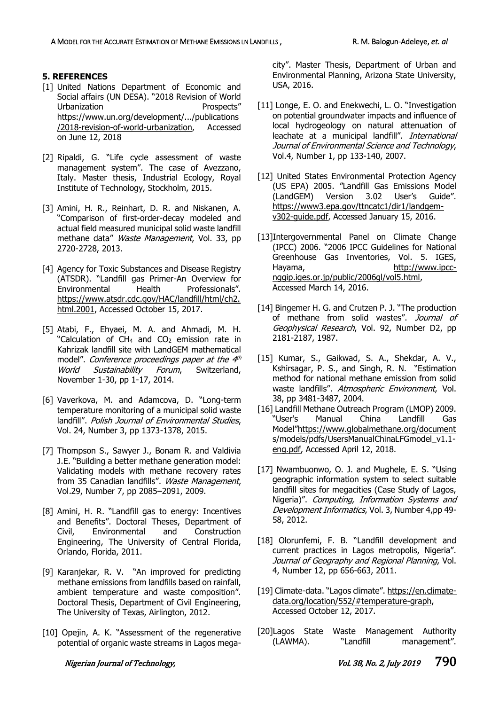#### **5. REFERENCES**

- [1] United Nations Department of Economic and Social affairs (UN DESA). "2018 Revision of World Urbanization Prospects" [https://www.un.org/development/.../publications](https://www.un.org/development/.../publications/2018-revision-of-world-urbanization) [/2018-revision-of-world-urbanization,](https://www.un.org/development/.../publications/2018-revision-of-world-urbanization) Accessed on June 12, 2018
- [2] Ripaldi, G. "Life cycle assessment of waste management system". The case of Avezzano, Italy. Master thesis, Industrial Ecology, Royal Institute of Technology, Stockholm, 2015.
- [3] Amini, H. R., Reinhart, D. R. and Niskanen, A. "Comparison of first-order-decay modeled and actual field measured municipal solid waste landfill methane data" Waste Management, Vol. 33, pp 2720-2728, 2013.
- [4] Agency for Toxic Substances and Disease Registry (ATSDR). "Landfill gas Primer-An Overview for Environmental Health Professionals". https://www.atsdr.cdc.gov/HAC/landfill/html/ch2. html.2001, Accessed October 15, 2017.
- [5] Atabi, F., Ehyaei, M. A. and Ahmadi, M. H. "Calculation of CH<sub>4</sub> and CO<sub>2</sub> emission rate in Kahrizak landfill site with LandGEM mathematical model". *Conference proceedings paper at the 4<sup>th</sup>* World Sustainability Forum, Switzerland, November 1-30, pp 1-17, 2014.
- [6] Vaverkova, M. and Adamcova, D. "Long-term temperature monitoring of a municipal solid waste landfill". Polish Journal of Environmental Studies. Vol. 24, Number 3, pp 1373-1378, 2015.
- [7] Thompson S., Sawyer J., Bonam R. and Valdivia J.E. "Building a better methane generation model: Validating models with methane recovery rates from 35 Canadian landfills". Waste Management, Vol.29, Number 7, pp 2085–2091, 2009.
- [8] Amini, H. R. "Landfill gas to energy: Incentives and Benefits". Doctoral Theses, Department of Civil, Environmental and Construction Engineering, The University of Central Florida, Orlando, Florida, 2011.
- [9] Karanjekar, R. V. "An improved for predicting methane emissions from landfills based on rainfall, ambient temperature and waste composition". Doctoral Thesis, Department of Civil Engineering, The University of Texas, Airlington, 2012.
- [10] Opejin, A. K. "Assessment of the regenerative potential of organic waste streams in Lagos mega-

city". Master Thesis, Department of Urban and Environmental Planning, Arizona State University, USA, 2016.

- [11] Longe, E. O. and Enekwechi, L. O. "Investigation on potential groundwater impacts and influence of local hydrogeology on natural attenuation of leachate at a municipal landfill". International Journal of Environmental Science and Technology, Vol.4, Number 1, pp 133-140, 2007.
- [12] United States Environmental Protection Agency (US EPA) 2005. "Landfill Gas Emissions Model (LandGEM) Version 3.02 User's Guide". [https://www3.epa.gov/ttncatc1/dir1/landgem](https://www3.epa.gov/ttncatc1/dir1/landgem-v302-guide.pdf)[v302-guide.pdf,](https://www3.epa.gov/ttncatc1/dir1/landgem-v302-guide.pdf) Accessed January 15, 2016.
- [13]Intergovernmental Panel on Climate Change (IPCC) 2006. "2006 IPCC Guidelines for National Greenhouse Gas Inventories, Vol. 5. IGES, Hayama, [http://www.ipcc](http://www.ipcc-nggip.iges.or.jp/public/2006gl/vol5.html)[nggip.iges.or.jp/public/2006gl/vol5.html,](http://www.ipcc-nggip.iges.or.jp/public/2006gl/vol5.html) Accessed March 14, 2016.
- [14] Bingemer H. G. and Crutzen P. J. "The production of methane from solid wastes". Journal of Geophysical Research, Vol. 92, Number D2, pp 2181-2187, 1987.
- [15] Kumar, S., Gaikwad, S. A., Shekdar, A. V., Kshirsagar, P. S., and Singh, R. N. "Estimation method for national methane emission from solid waste landfills". Atmospheric Environment, Vol. 38, pp 3481-3487, 2004.
- [16] Landfill Methane Outreach Program (LMOP) 2009. "User's Manual China Landfill Gas Model"[https://www.globalmethane.org/document](https://www.globalmethane.org/documents/models/pdfs/UsersManualChinaLFGmodel_v1.1-eng.pdf) [s/models/pdfs/UsersManualChinaLFGmodel\\_v1.1](https://www.globalmethane.org/documents/models/pdfs/UsersManualChinaLFGmodel_v1.1-eng.pdf) [eng.pdf,](https://www.globalmethane.org/documents/models/pdfs/UsersManualChinaLFGmodel_v1.1-eng.pdf) Accessed April 12, 2018.
- [17] Nwambuonwo, O. J. and Mughele, E. S. "Using geographic information system to select suitable landfill sites for megacities (Case Study of Lagos, Nigeria)". Computing, Information Systems and Development Informatics, Vol. 3, Number 4,pp 49- 58, 2012.
- [18] Olorunfemi, F. B. "Landfill development and current practices in Lagos metropolis, Nigeria". Journal of Geography and Regional Planning, Vol. 4, Number 12, pp 656-663, 2011.
- [19] Climate-data. "Lagos climate". [https://en.climate](https://en.climate-data.org/location/552/#temperature-graph)[data.org/location/552/#temperature-graph,](https://en.climate-data.org/location/552/#temperature-graph) Accessed October 12, 2017.
- [20]Lagos State Waste Management Authority (LAWMA). "Landfill management".